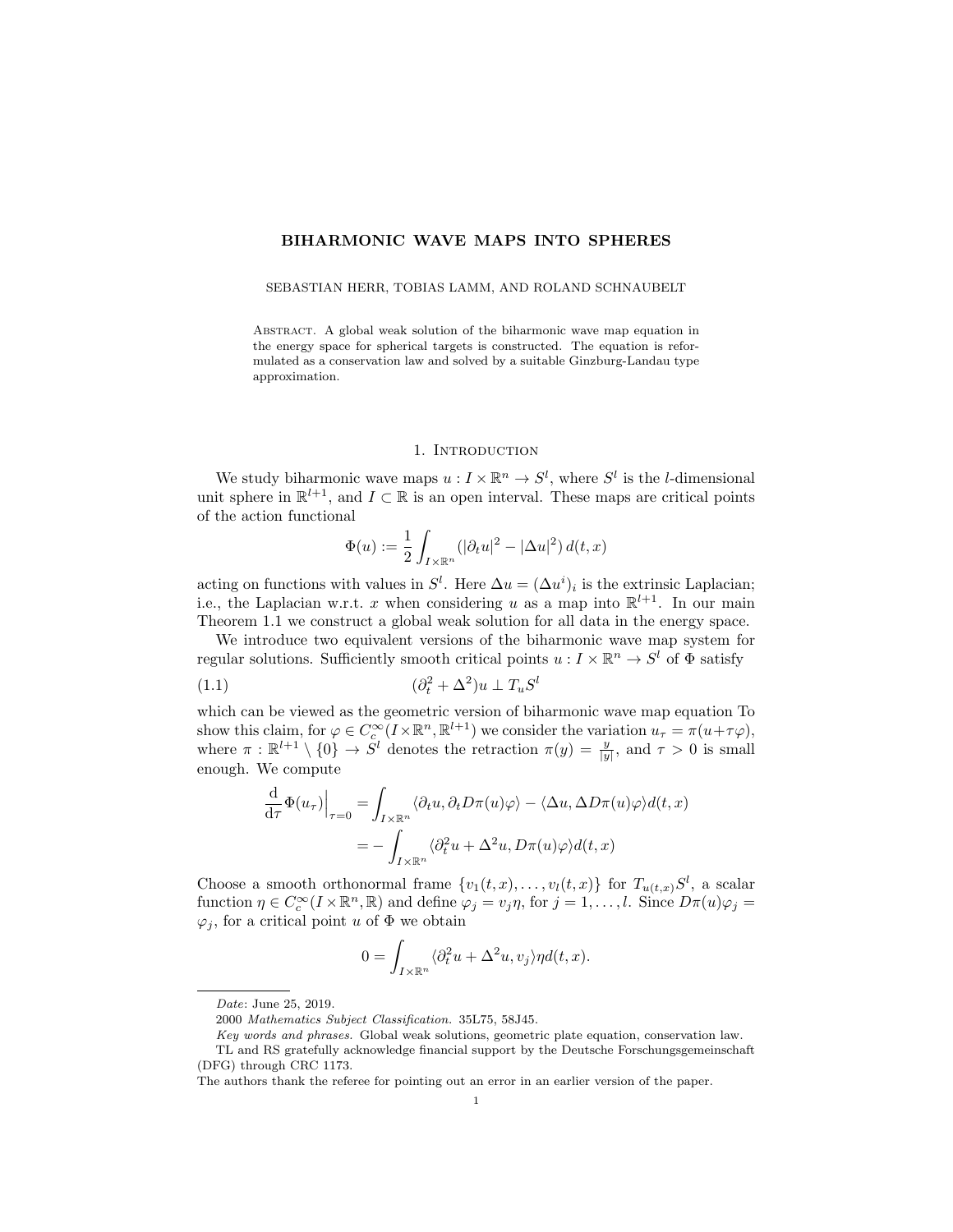# BIHARMONIC WAVE MAPS INTO SPHERES

### SEBASTIAN HERR, TOBIAS LAMM, AND ROLAND SCHNAUBELT

Abstract. A global weak solution of the biharmonic wave map equation in the energy space for spherical targets is constructed. The equation is reformulated as a conservation law and solved by a suitable Ginzburg-Landau type approximation.

# 1. INTRODUCTION

We study biharmonic wave maps  $u: I \times \mathbb{R}^n \to S^l$ , where  $S^l$  is the *l*-dimensional unit sphere in  $\mathbb{R}^{l+1}$ , and  $I \subset \mathbb{R}$  is an open interval. These maps are critical points of the action functional

$$
\Phi(u) := \frac{1}{2} \int_{I \times \mathbb{R}^n} (|\partial_t u|^2 - |\Delta u|^2) d(t, x)
$$

acting on functions with values in  $S^l$ . Here  $\Delta u = (\Delta u^i)_i$  is the extrinsic Laplacian; i.e., the Laplacian w.r.t. x when considering u as a map into  $\mathbb{R}^{l+1}$ . In our main Theorem 1.1 we construct a global weak solution for all data in the energy space.

We introduce two equivalent versions of the biharmonic wave map system for regular solutions. Sufficiently smooth critical points  $u: I \times \mathbb{R}^n \to S^l$  of  $\Phi$  satisfy

$$
(1.1)\qquad \qquad (\partial_t^2 + \Delta^2)u \perp T_u S^l
$$

which can be viewed as the geometric version of biharmonic wave map equation To show this claim, for  $\varphi \in C_c^{\infty}(I \times \mathbb{R}^n, \mathbb{R}^{l+1})$  we consider the variation  $u_{\tau} = \pi(u + \tau \varphi)$ , where  $\pi : \mathbb{R}^{l+1} \setminus \{0\} \to S^l$  denotes the retraction  $\pi(y) = \frac{y}{|y|}$ , and  $\tau > 0$  is small enough. We compute

$$
\frac{d}{d\tau} \Phi(u_\tau) \Big|_{\tau=0} = \int_{I \times \mathbb{R}^n} \langle \partial_t u, \partial_t D\pi(u)\varphi \rangle - \langle \Delta u, \Delta D\pi(u)\varphi \rangle d(t, x)
$$

$$
= - \int_{I \times \mathbb{R}^n} \langle \partial_t^2 u + \Delta^2 u, D\pi(u)\varphi \rangle d(t, x)
$$

Choose a smooth orthonormal frame  $\{v_1(t,x), \ldots, v_l(t,x)\}\;$  for  $T_{u(t,x)}S^l$ , a scalar function  $\eta \in C_c^{\infty}(I \times \mathbb{R}^n, \mathbb{R})$  and define  $\varphi_j = v_j \eta$ , for  $j = 1, \ldots, l$ . Since  $D\pi(u)\varphi_j =$  $\varphi_j$ , for a critical point u of  $\Phi$  we obtain

$$
0 = \int_{I \times \mathbb{R}^n} \langle \partial_t^2 u + \Delta^2 u, v_j \rangle \eta d(t, x).
$$

Date: June 25, 2019.

<sup>2000</sup> Mathematics Subject Classification. 35L75, 58J45.

Key words and phrases. Global weak solutions, geometric plate equation, conservation law.

TL and RS gratefully acknowledge financial support by the Deutsche Forschungsgemeinschaft (DFG) through CRC 1173.

The authors thank the referee for pointing out an error in an earlier version of the paper.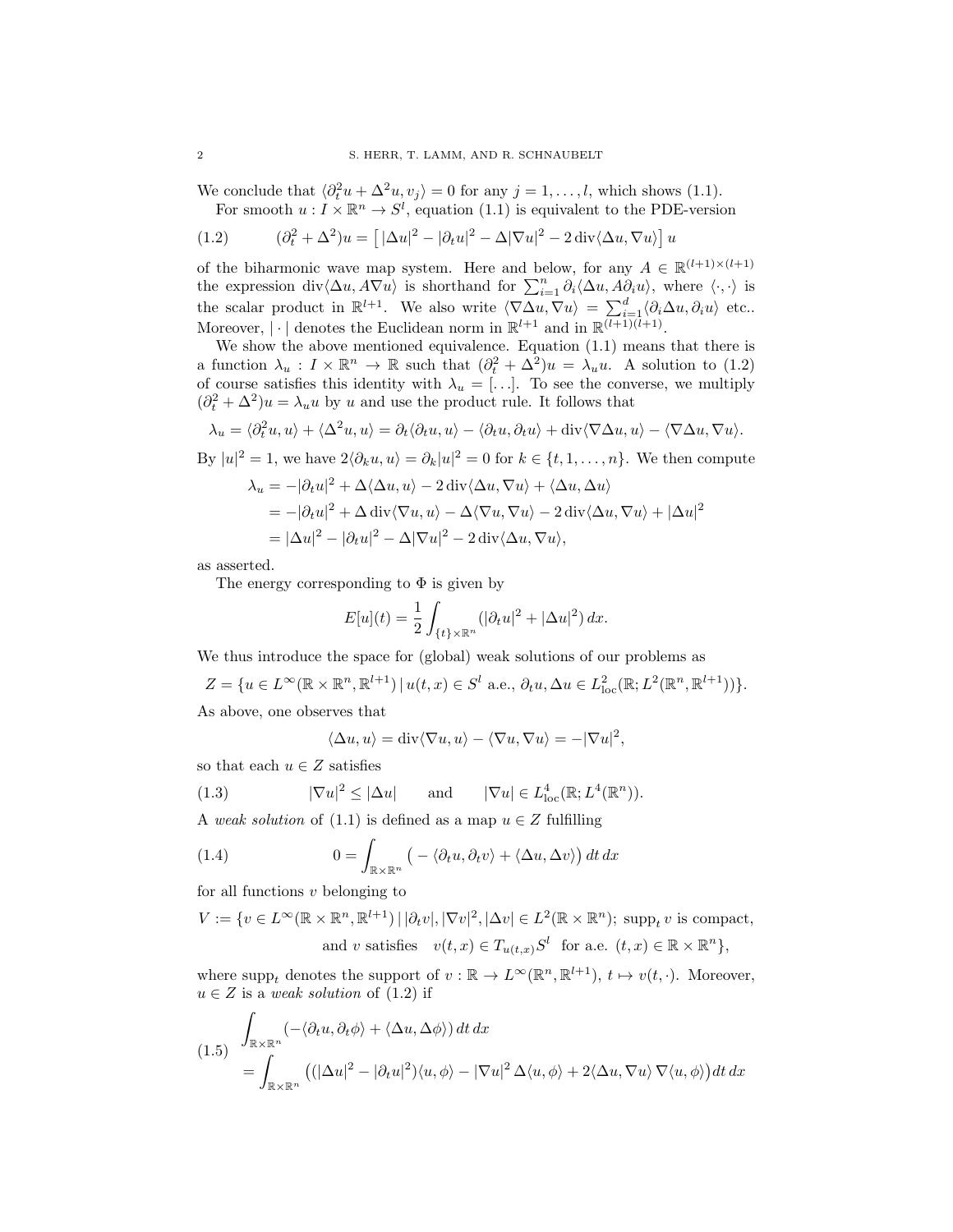We conclude that  $\langle \partial_t^2 u + \Delta^2 u, v_j \rangle = 0$  for any  $j = 1, ..., l$ , which shows (1.1).

For smooth  $u: I \times \mathbb{R}^n \to S^l$ , equation (1.1) is equivalent to the PDE-version

(1.2) 
$$
(\partial_t^2 + \Delta^2)u = \left[ |\Delta u|^2 - |\partial_t u|^2 - \Delta |\nabla u|^2 - 2 \operatorname{div} \langle \Delta u, \nabla u \rangle \right] u
$$

of the biharmonic wave map system. Here and below, for any  $A \in \mathbb{R}^{(l+1)\times (l+1)}$ the expression div $\langle \Delta u, A\nabla u \rangle$  is shorthand for  $\sum_{i=1}^n \partial_i \langle \Delta u, A\partial_i u \rangle$ , where  $\langle \cdot, \cdot \rangle$  is the scalar product in  $\mathbb{R}^{l+1}$ . We also write  $\langle \nabla \Delta u, \nabla u \rangle = \sum_{i=1}^{d} \langle \partial_i \Delta u, \partial_i u \rangle$  etc.. Moreover,  $|\cdot|$  denotes the Euclidean norm in  $\mathbb{R}^{l+1}$  and in  $\mathbb{R}^{(l+1)(l+1)}$ .

We show the above mentioned equivalence. Equation (1.1) means that there is a function  $\lambda_u : I \times \mathbb{R}^n \to \mathbb{R}$  such that  $(\partial_t^2 + \Delta^2)u = \lambda_u u$ . A solution to (1.2) of course satisfies this identity with  $\lambda_u = [\dots]$ . To see the converse, we multiply  $(\partial_t^2 + \Delta^2)u = \lambda_u u$  by u and use the product rule. It follows that

$$
\lambda_u = \langle \partial_t^2 u, u \rangle + \langle \Delta^2 u, u \rangle = \partial_t \langle \partial_t u, u \rangle - \langle \partial_t u, \partial_t u \rangle + \text{div} \langle \nabla \Delta u, u \rangle - \langle \nabla \Delta u, \nabla u \rangle.
$$

By  $|u|^2 = 1$ , we have  $2\langle \partial_k u, u \rangle = \partial_k |u|^2 = 0$  for  $k \in \{t, 1, ..., n\}$ . We then compute

$$
\lambda_u = -|\partial_t u|^2 + \Delta \langle \Delta u, u \rangle - 2 \operatorname{div} \langle \Delta u, \nabla u \rangle + \langle \Delta u, \Delta u \rangle
$$
  
= -|\partial\_t u|^2 + \Delta \operatorname{div} \langle \nabla u, u \rangle - \Delta \langle \nabla u, \nabla u \rangle - 2 \operatorname{div} \langle \Delta u, \nabla u \rangle + |\Delta u|^2  
= |\Delta u|^2 - |\partial\_t u|^2 - \Delta |\nabla u|^2 - 2 \operatorname{div} \langle \Delta u, \nabla u \rangle,

as asserted.

The energy corresponding to  $\Phi$  is given by

$$
E[u](t) = \frac{1}{2} \int_{\{t\} \times \mathbb{R}^n} (|\partial_t u|^2 + |\Delta u|^2) \, dx.
$$

We thus introduce the space for (global) weak solutions of our problems as

$$
Z = \{ u \in L^{\infty}(\mathbb{R} \times \mathbb{R}^n, \mathbb{R}^{l+1}) \mid u(t, x) \in S^l \text{ a.e., } \partial_t u, \Delta u \in L^2_{\text{loc}}(\mathbb{R}; L^2(\mathbb{R}^n, \mathbb{R}^{l+1})) \}.
$$

As above, one observes that

$$
\langle \Delta u, u \rangle = \text{div}\langle \nabla u, u \rangle - \langle \nabla u, \nabla u \rangle = -|\nabla u|^2,
$$

so that each  $u \in Z$  satisfies

(1.3) 
$$
|\nabla u|^2 \le |\Delta u| \quad \text{and} \quad |\nabla u| \in L^4_{\text{loc}}(\mathbb{R}; L^4(\mathbb{R}^n)).
$$

A weak solution of (1.1) is defined as a map  $u \in Z$  fulfilling

(1.4) 
$$
0 = \int_{\mathbb{R} \times \mathbb{R}^n} \left( - \langle \partial_t u, \partial_t v \rangle + \langle \Delta u, \Delta v \rangle \right) dt dx
$$

for all functions  $v$  belonging to

$$
V := \{ v \in L^{\infty}(\mathbb{R} \times \mathbb{R}^n, \mathbb{R}^{l+1}) \mid |\partial_t v|, |\nabla v|^2, |\Delta v| \in L^2(\mathbb{R} \times \mathbb{R}^n); \text{ supp}_t v \text{ is compact},\}
$$
  
and v satisfies  $v(t, x) \in T_{u(t, x)} S^l$  for a.e.  $(t, x) \in \mathbb{R} \times \mathbb{R}^n \},$ 

where supp<sub>t</sub> denotes the support of  $v : \mathbb{R} \to L^{\infty}(\mathbb{R}^n, \mathbb{R}^{l+1}), t \mapsto v(t, \cdot)$ . Moreover,  $u \in Z$  is a weak solution of  $(1.2)$  if

$$
(1.5) \quad \int_{\mathbb{R}\times\mathbb{R}^n} \left( -\langle \partial_t u, \partial_t \phi \rangle + \langle \Delta u, \Delta \phi \rangle \right) dt \, dx
$$
\n
$$
= \int_{\mathbb{R}\times\mathbb{R}^n} \left( (|\Delta u|^2 - |\partial_t u|^2) \langle u, \phi \rangle - |\nabla u|^2 \Delta \langle u, \phi \rangle + 2 \langle \Delta u, \nabla u \rangle \nabla \langle u, \phi \rangle \right) dt \, dx
$$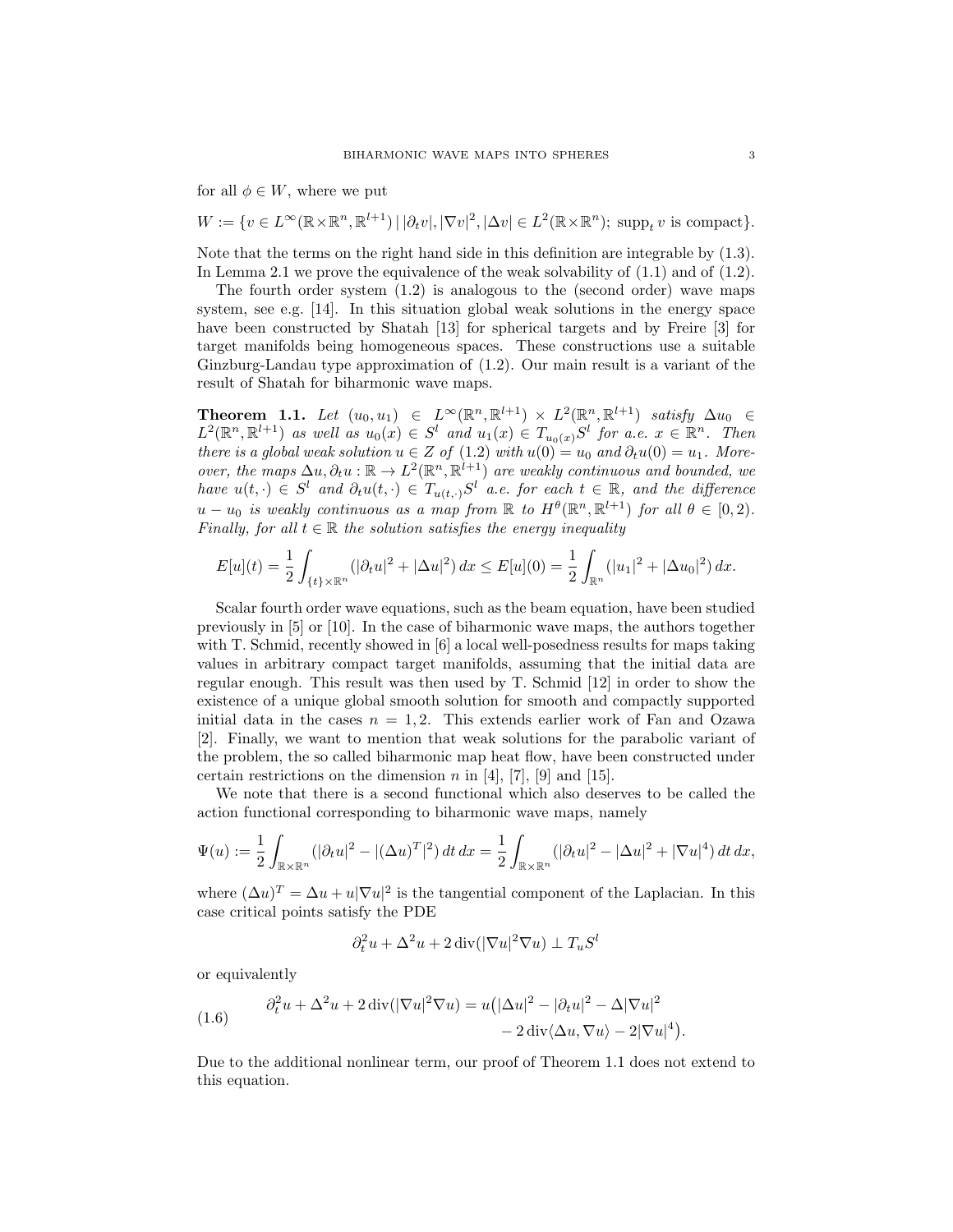for all  $\phi \in W$ , where we put

 $W := \{v \in L^{\infty}(\mathbb{R} \times \mathbb{R}^n, \mathbb{R}^{l+1}) \mid |\partial_t v|, |\nabla v|^2, |\Delta v| \in L^2(\mathbb{R} \times \mathbb{R}^n); \text{ supp}_t v \text{ is compact}\}.$ 

Note that the terms on the right hand side in this definition are integrable by (1.3). In Lemma 2.1 we prove the equivalence of the weak solvability of (1.1) and of (1.2).

The fourth order system  $(1.2)$  is analogous to the (second order) wave maps system, see e.g. [14]. In this situation global weak solutions in the energy space have been constructed by Shatah [13] for spherical targets and by Freire [3] for target manifolds being homogeneous spaces. These constructions use a suitable Ginzburg-Landau type approximation of (1.2). Our main result is a variant of the result of Shatah for biharmonic wave maps.

Theorem 1.1. Let  $(u_0, u_1) \in L^{\infty}(\mathbb{R}^n, \mathbb{R}^{l+1}) \times L^2(\mathbb{R}^n, \mathbb{R}^{l+1})$  satisfy  $\Delta u_0 \in$  $L^2(\mathbb{R}^n, \mathbb{R}^{l+1})$  as well as  $u_0(x) \in S^l$  and  $u_1(x) \in T_{u_0(x)}S^l$  for a.e.  $x \in \mathbb{R}^n$ . Then there is a global weak solution  $u \in Z$  of  $(1.2)$  with  $u(0) = u_0$  and  $\partial_t u(0) = u_1$ . Moreover, the maps  $\Delta u, \partial_t u : \mathbb{R} \to L^2(\mathbb{R}^n, \mathbb{R}^{l+1})$  are weakly continuous and bounded, we have  $u(t,.) \in S^l$  and  $\partial_t u(t,.) \in T_{u(t,.)} S^l$  a.e. for each  $t \in \mathbb{R}$ , and the difference  $u - u_0$  is weakly continuous as a map from  $\mathbb R$  to  $H^{\theta}(\mathbb R^n, \mathbb R^{l+1})$  for all  $\theta \in [0, 2)$ . Finally, for all  $t \in \mathbb{R}$  the solution satisfies the energy inequality

$$
E[u](t) = \frac{1}{2} \int_{\{t\} \times \mathbb{R}^n} (|\partial_t u|^2 + |\Delta u|^2) \, dx \le E[u](0) = \frac{1}{2} \int_{\mathbb{R}^n} (|u_1|^2 + |\Delta u_0|^2) \, dx.
$$

Scalar fourth order wave equations, such as the beam equation, have been studied previously in [5] or [10]. In the case of biharmonic wave maps, the authors together with T. Schmid, recently showed in [6] a local well-posedness results for maps taking values in arbitrary compact target manifolds, assuming that the initial data are regular enough. This result was then used by T. Schmid [12] in order to show the existence of a unique global smooth solution for smooth and compactly supported initial data in the cases  $n = 1, 2$ . This extends earlier work of Fan and Ozawa [2]. Finally, we want to mention that weak solutions for the parabolic variant of the problem, the so called biharmonic map heat flow, have been constructed under certain restrictions on the dimension n in [4], [7], [9] and [15].

We note that there is a second functional which also deserves to be called the action functional corresponding to biharmonic wave maps, namely

$$
\Psi(u) := \frac{1}{2} \int_{\mathbb{R} \times \mathbb{R}^n} (|\partial_t u|^2 - |(\Delta u)^T|^2) dt dx = \frac{1}{2} \int_{\mathbb{R} \times \mathbb{R}^n} (|\partial_t u|^2 - |\Delta u|^2 + |\nabla u|^4) dt dx,
$$

where  $(\Delta u)^T = \Delta u + u |\nabla u|^2$  is the tangential component of the Laplacian. In this case critical points satisfy the PDE

$$
\partial_t^2 u + \Delta^2 u + 2 \operatorname{div}(|\nabla u|^2 \nabla u) \perp T_u S^l
$$

or equivalently

(1.6) 
$$
\partial_t^2 u + \Delta^2 u + 2 \operatorname{div}(|\nabla u|^2 \nabla u) = u(|\Delta u|^2 - |\partial_t u|^2 - \Delta |\nabla u|^2 - 2 \operatorname{div} \langle \Delta u, \nabla u \rangle - 2 |\nabla u|^4).
$$

Due to the additional nonlinear term, our proof of Theorem 1.1 does not extend to this equation.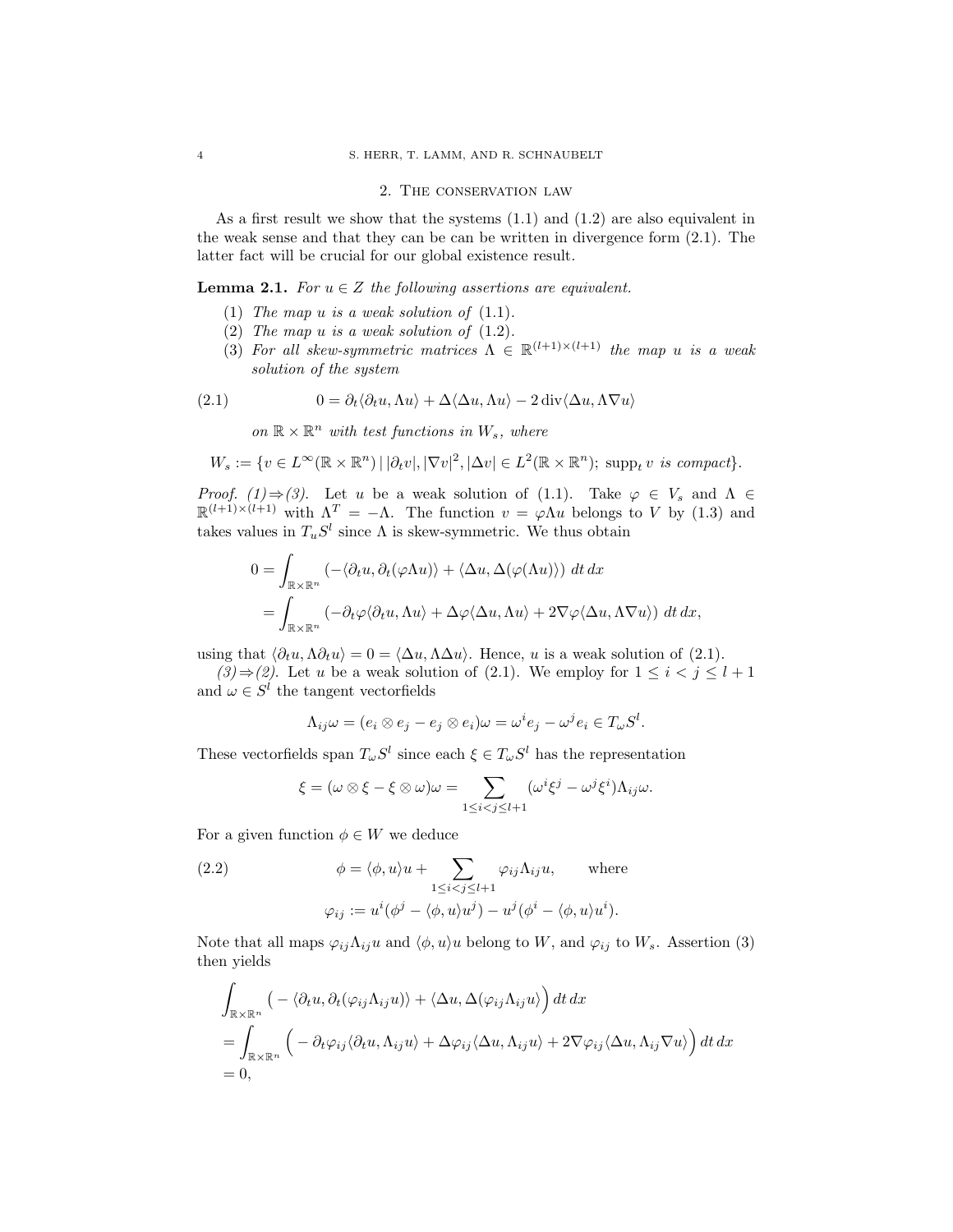## 2. The conservation law

As a first result we show that the systems (1.1) and (1.2) are also equivalent in the weak sense and that they can be can be written in divergence form (2.1). The latter fact will be crucial for our global existence result.

**Lemma 2.1.** For  $u \in Z$  the following assertions are equivalent.

- (1) The map  $u$  is a weak solution of  $(1.1)$ .
- (2) The map  $u$  is a weak solution of  $(1.2)$ .
- (3) For all skew-symmetric matrices  $\Lambda \in \mathbb{R}^{(l+1)\times (l+1)}$  the map u is a weak solution of the system

(2.1) 
$$
0 = \partial_t \langle \partial_t u, \Lambda u \rangle + \Delta \langle \Delta u, \Lambda u \rangle - 2 \operatorname{div} \langle \Delta u, \Lambda \nabla u \rangle
$$

on  $\mathbb{R} \times \mathbb{R}^n$  with test functions in  $W_s$ , where

$$
W_s := \{ v \in L^{\infty}(\mathbb{R} \times \mathbb{R}^n) \mid |\partial_t v|, |\nabla v|^2, |\Delta v| \in L^2(\mathbb{R} \times \mathbb{R}^n); \text{ supp}_t v \text{ is compact} \}.
$$

*Proof.* (1)  $\Rightarrow$  (3). Let u be a weak solution of (1.1). Take  $\varphi \in V_s$  and  $\Lambda \in$  $\mathbb{R}^{(l+1)\times(l+1)}$  with  $\Lambda^T = -\Lambda$ . The function  $v = \varphi \Lambda u$  belongs to V by (1.3) and takes values in  $T_uS^l$  since  $\Lambda$  is skew-symmetric. We thus obtain

$$
0 = \int_{\mathbb{R} \times \mathbb{R}^n} \left( - \langle \partial_t u, \partial_t (\varphi \Lambda u) \rangle + \langle \Delta u, \Delta (\varphi(\Lambda u) \rangle \right) dt dx
$$
  
= 
$$
\int_{\mathbb{R} \times \mathbb{R}^n} \left( - \partial_t \varphi \langle \partial_t u, \Lambda u \rangle + \Delta \varphi \langle \Delta u, \Lambda u \rangle + 2 \nabla \varphi \langle \Delta u, \Lambda \nabla u \rangle \right) dt dx,
$$

using that  $\langle \partial_t u, \Lambda \partial_t u \rangle = 0 = \langle \Delta u, \Lambda \Delta u \rangle$ . Hence, u is a weak solution of (2.1).

 $(3) \Rightarrow (2)$ . Let u be a weak solution of (2.1). We employ for  $1 \leq i < j \leq l + 1$ and  $\omega \in S^l$  the tangent vectorfields

$$
\Lambda_{ij}\omega = (e_i \otimes e_j - e_j \otimes e_i)\omega = \omega^i e_j - \omega^j e_i \in T_{\omega}S^l.
$$

These vectorfields span  $T_{\omega}S^l$  since each  $\xi \in T_{\omega}S^l$  has the representation

$$
\xi = (\omega \otimes \xi - \xi \otimes \omega)\omega = \sum_{1 \leq i < j \leq l+1} (\omega^i \xi^j - \omega^j \xi^i) \Lambda_{ij} \omega.
$$

For a given function  $\phi \in W$  we deduce

(2.2) 
$$
\phi = \langle \phi, u \rangle u + \sum_{1 \leq i < j \leq l+1} \varphi_{ij} \Lambda_{ij} u, \quad \text{where}
$$

$$
\varphi_{ij} := u^i (\phi^j - \langle \phi, u \rangle u^j) - u^j (\phi^i - \langle \phi, u \rangle u^i).
$$

Note that all maps  $\varphi_{ij}\Lambda_{ij}u$  and  $\langle \phi, u \rangle u$  belong to W, and  $\varphi_{ij}$  to W<sub>s</sub>. Assertion (3) then yields

$$
\int_{\mathbb{R}\times\mathbb{R}^n} \left( -\langle \partial_t u, \partial_t (\varphi_{ij} \Lambda_{ij} u) \rangle + \langle \Delta u, \Delta (\varphi_{ij} \Lambda_{ij} u) \rangle \right) dt dx
$$
\n
$$
= \int_{\mathbb{R}\times\mathbb{R}^n} \left( -\partial_t \varphi_{ij} \langle \partial_t u, \Lambda_{ij} u \rangle + \Delta \varphi_{ij} \langle \Delta u, \Lambda_{ij} u \rangle + 2 \nabla \varphi_{ij} \langle \Delta u, \Lambda_{ij} \nabla u \rangle \right) dt dx
$$
\n
$$
= 0,
$$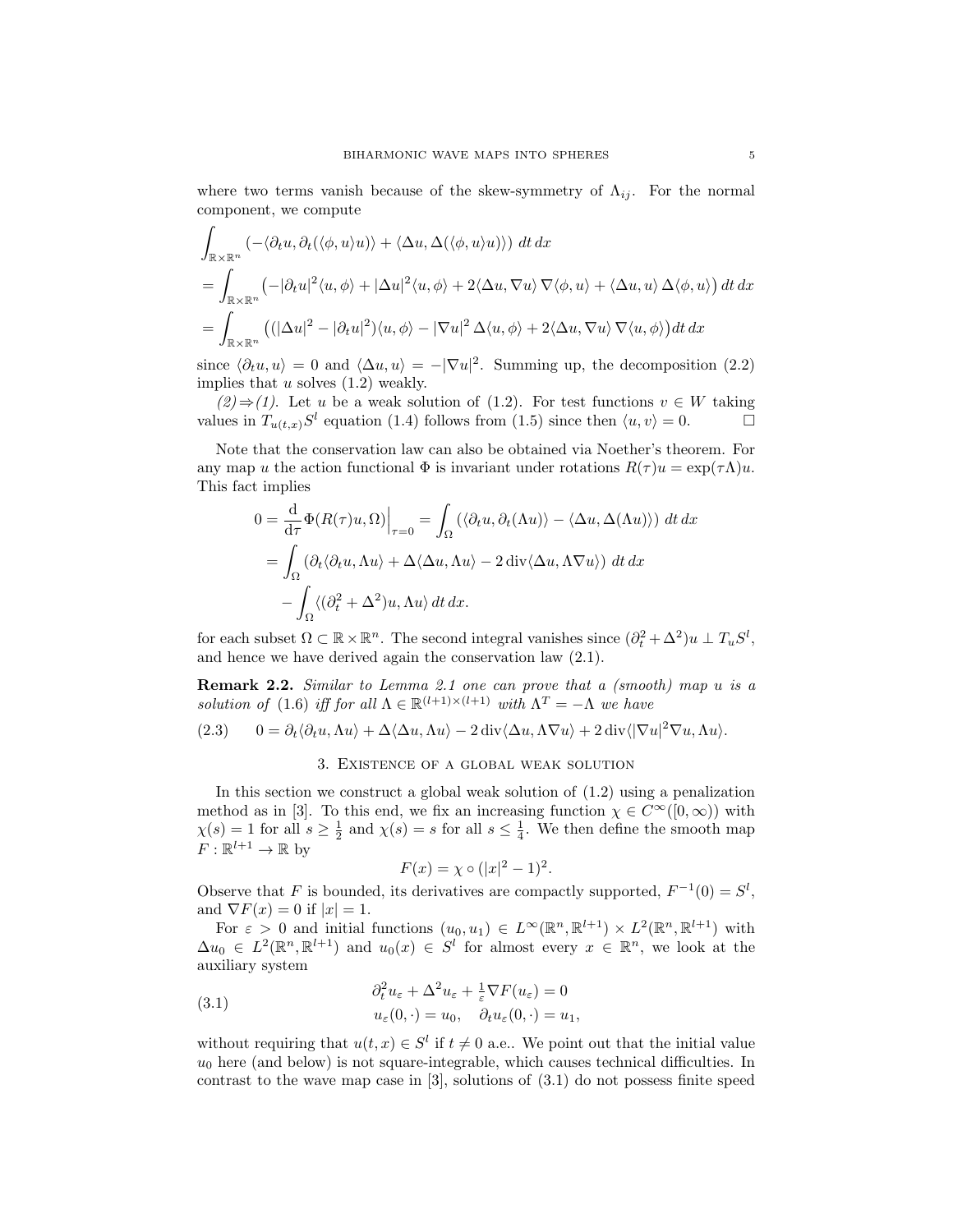where two terms vanish because of the skew-symmetry of  $\Lambda_{ij}$ . For the normal component, we compute

$$
\int_{\mathbb{R}\times\mathbb{R}^n} \left( -\langle \partial_t u, \partial_t (\langle \phi, u \rangle u) \rangle + \langle \Delta u, \Delta(\langle \phi, u \rangle u) \rangle \right) dt dx
$$
\n
$$
= \int_{\mathbb{R}\times\mathbb{R}^n} \left( -|\partial_t u|^2 \langle u, \phi \rangle + |\Delta u|^2 \langle u, \phi \rangle + 2 \langle \Delta u, \nabla u \rangle \nabla \langle \phi, u \rangle + \langle \Delta u, u \rangle \Delta \langle \phi, u \rangle \right) dt dx
$$
\n
$$
= \int_{\mathbb{R}\times\mathbb{R}^n} \left( (|\Delta u|^2 - |\partial_t u|^2) \langle u, \phi \rangle - |\nabla u|^2 \Delta \langle u, \phi \rangle + 2 \langle \Delta u, \nabla u \rangle \nabla \langle u, \phi \rangle \right) dt dx
$$

since  $\langle \partial_t u, u \rangle = 0$  and  $\langle \Delta u, u \rangle = -|\nabla u|^2$ . Summing up, the decomposition (2.2) implies that  $u$  solves  $(1.2)$  weakly.

 $(2) \Rightarrow (1)$ . Let u be a weak solution of (1.2). For test functions  $v \in W$  taking values in  $T_{u(t,x)}S^l$  equation (1.4) follows from (1.5) since then  $\langle u, v \rangle = 0$ .

Note that the conservation law can also be obtained via Noether's theorem. For any map u the action functional  $\Phi$  is invariant under rotations  $R(\tau)u = \exp(\tau \Lambda)u$ . This fact implies

$$
0 = \frac{d}{d\tau} \Phi(R(\tau)u, \Omega)\Big|_{\tau=0} = \int_{\Omega} (\langle \partial_t u, \partial_t (\Lambda u) \rangle - \langle \Delta u, \Delta(\Lambda u) \rangle) dt dx
$$
  
= 
$$
\int_{\Omega} (\partial_t \langle \partial_t u, \Lambda u \rangle + \Delta \langle \Delta u, \Lambda u \rangle - 2 \operatorname{div} \langle \Delta u, \Lambda \nabla u \rangle) dt dx
$$
  
- 
$$
\int_{\Omega} \langle (\partial_t^2 + \Delta^2)u, \Lambda u \rangle dt dx.
$$

for each subset  $\Omega \subset \mathbb{R} \times \mathbb{R}^n$ . The second integral vanishes since  $(\partial_t^2 + \Delta^2)u \perp T_uS^l$ , and hence we have derived again the conservation law (2.1).

Remark 2.2. Similar to Lemma 2.1 one can prove that a (smooth) map u is a solution of (1.6) iff for all  $\Lambda \in \mathbb{R}^{(l+1)\times (l+1)}$  with  $\Lambda^T = -\Lambda$  we have

(2.3) 
$$
0 = \partial_t \langle \partial_t u, \Lambda u \rangle + \Delta \langle \Delta u, \Lambda u \rangle - 2 \operatorname{div} \langle \Delta u, \Lambda \nabla u \rangle + 2 \operatorname{div} \langle |\nabla u|^2 \nabla u, \Lambda u \rangle.
$$

## 3. Existence of a global weak solution

In this section we construct a global weak solution of (1.2) using a penalization method as in [3]. To this end, we fix an increasing function  $\chi \in C^{\infty}([0,\infty))$  with  $\chi(s) = 1$  for all  $s \geq \frac{1}{2}$  and  $\chi(s) = s$  for all  $s \leq \frac{1}{4}$ . We then define the smooth map  $F: \mathbb{R}^{l+1} \to \mathbb{R}$  by

$$
F(x) = \chi \circ (|x|^2 - 1)^2.
$$

Observe that F is bounded, its derivatives are compactly supported,  $F^{-1}(0) = S^l$ , and  $\nabla F(x) = 0$  if  $|x| = 1$ .

For  $\varepsilon > 0$  and initial functions  $(u_0, u_1) \in L^{\infty}(\mathbb{R}^n, \mathbb{R}^{l+1}) \times L^2(\mathbb{R}^n, \mathbb{R}^{l+1})$  with  $\Delta u_0 \in L^2(\mathbb{R}^n, \mathbb{R}^{l+1})$  and  $u_0(x) \in S^l$  for almost every  $x \in \mathbb{R}^n$ , we look at the auxiliary system

(3.1) 
$$
\begin{aligned}\n\partial_t^2 u_{\varepsilon} + \Delta^2 u_{\varepsilon} + \frac{1}{\varepsilon} \nabla F(u_{\varepsilon}) &= 0\\ u_{\varepsilon}(0, \cdot) &= u_0, \quad \partial_t u_{\varepsilon}(0, \cdot) &= u_1,\n\end{aligned}
$$

without requiring that  $u(t, x) \in S^l$  if  $t \neq 0$  a.e.. We point out that the initial value  $u_0$  here (and below) is not square-integrable, which causes technical difficulties. In contrast to the wave map case in [3], solutions of (3.1) do not possess finite speed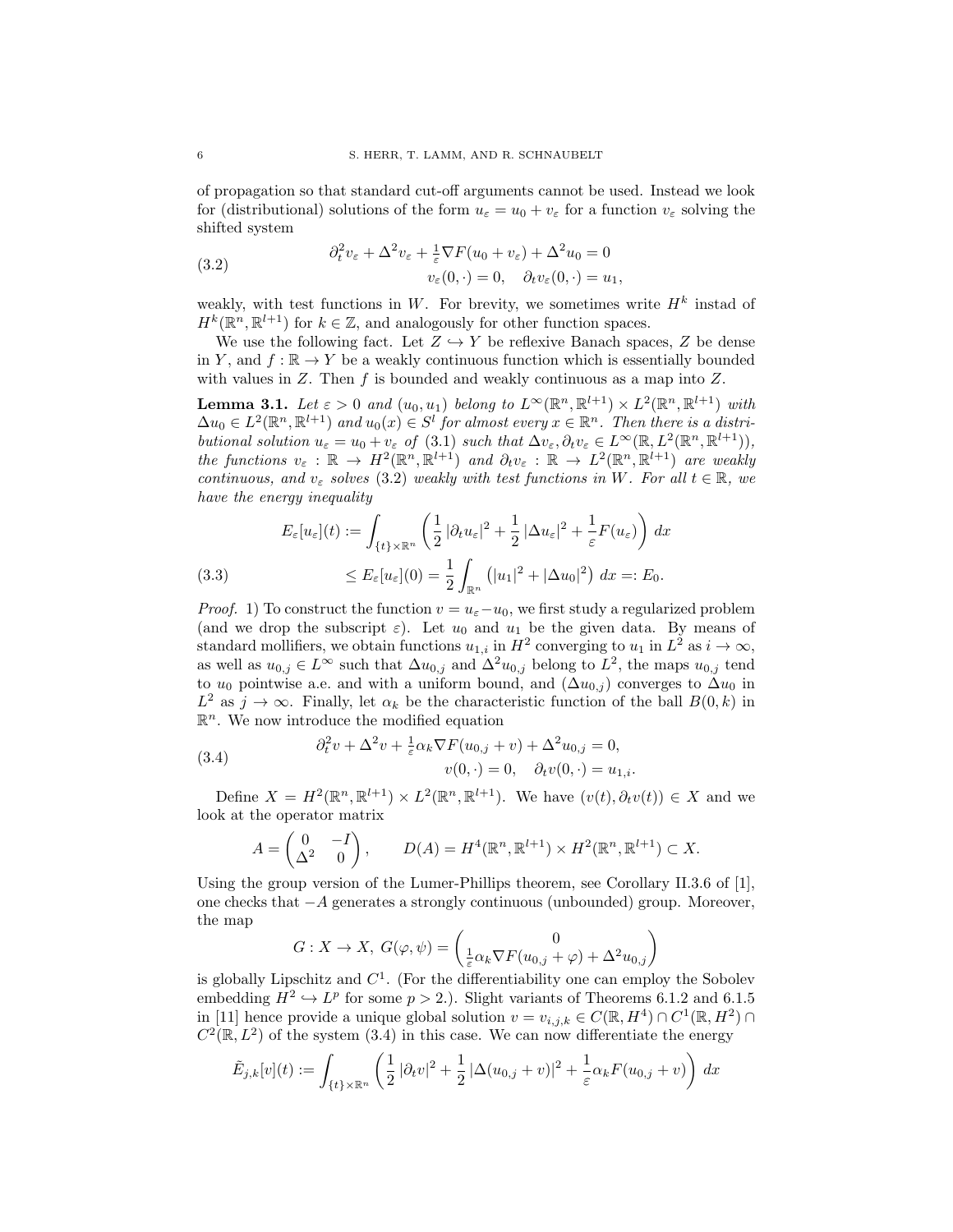of propagation so that standard cut-off arguments cannot be used. Instead we look for (distributional) solutions of the form  $u_{\varepsilon} = u_0 + v_{\varepsilon}$  for a function  $v_{\varepsilon}$  solving the shifted system

(3.2) 
$$
\begin{aligned}\n\partial_t^2 v_\varepsilon + \Delta^2 v_\varepsilon + \frac{1}{\varepsilon} \nabla F(u_0 + v_\varepsilon) + \Delta^2 u_0 &= 0\\ v_\varepsilon(0, \cdot) &= 0, \quad \partial_t v_\varepsilon(0, \cdot) &= u_1,\n\end{aligned}
$$

weakly, with test functions in W. For brevity, we sometimes write  $H^k$  instad of  $H^k(\mathbb{R}^n, \mathbb{R}^{l+1})$  for  $k \in \mathbb{Z}$ , and analogously for other function spaces.

We use the following fact. Let  $Z \hookrightarrow Y$  be reflexive Banach spaces, Z be dense in Y, and  $f : \mathbb{R} \to Y$  be a weakly continuous function which is essentially bounded with values in  $Z$ . Then f is bounded and weakly continuous as a map into  $Z$ .

**Lemma 3.1.** Let  $\varepsilon > 0$  and  $(u_0, u_1)$  belong to  $L^{\infty}(\mathbb{R}^n, \mathbb{R}^{l+1}) \times L^2(\mathbb{R}^n, \mathbb{R}^{l+1})$  with  $\Delta u_0 \in L^2(\mathbb{R}^n, \mathbb{R}^{l+1})$  and  $u_0(x) \in S^l$  for almost every  $x \in \mathbb{R}^n$ . Then there is a distributional solution  $u_{\varepsilon} = u_0 + v_{\varepsilon}$  of (3.1) such that  $\Delta v_{\varepsilon}, \partial_t v_{\varepsilon} \in L^{\infty}(\mathbb{R}, L^2(\mathbb{R}^n, \mathbb{R}^{l+1})),$ the functions  $v_{\varepsilon} : \mathbb{R} \to H^2(\mathbb{R}^n, \mathbb{R}^{l+1})$  and  $\partial_t v_{\varepsilon} : \mathbb{R} \to L^2(\mathbb{R}^n, \mathbb{R}^{l+1})$  are weakly continuous, and  $v_{\varepsilon}$  solves (3.2) weakly with test functions in W. For all  $t \in \mathbb{R}$ , we have the energy inequality

(3.3)  

$$
E_{\varepsilon}[u_{\varepsilon}](t) := \int_{\{t\}\times\mathbb{R}^n} \left(\frac{1}{2}|\partial_t u_{\varepsilon}|^2 + \frac{1}{2}|\Delta u_{\varepsilon}|^2 + \frac{1}{\varepsilon}F(u_{\varepsilon})\right) dx
$$

$$
\leq E_{\varepsilon}[u_{\varepsilon}](0) = \frac{1}{2}\int_{\mathbb{R}^n} \left(|u_1|^2 + |\Delta u_0|^2\right) dx =: E_0.
$$

*Proof.* 1) To construct the function  $v = u_{\varepsilon} - u_0$ , we first study a regularized problem (and we drop the subscript  $\varepsilon$ ). Let  $u_0$  and  $u_1$  be the given data. By means of standard mollifiers, we obtain functions  $u_{1,i}$  in  $H^2$  converging to  $u_1$  in  $L^2$  as  $i \to \infty$ , as well as  $u_{0,j} \in L^{\infty}$  such that  $\Delta u_{0,j}$  and  $\Delta^2 u_{0,j}$  belong to  $L^2$ , the maps  $u_{0,j}$  tend to  $u_0$  pointwise a.e. and with a uniform bound, and  $(\Delta u_{0,j})$  converges to  $\Delta u_0$  in  $L^2$  as  $j \to \infty$ . Finally, let  $\alpha_k$  be the characteristic function of the ball  $B(0, k)$  in  $\mathbb{R}^n$ . We now introduce the modified equation

(3.4) 
$$
\partial_t^2 v + \Delta^2 v + \frac{1}{\varepsilon} \alpha_k \nabla F(u_{0,j} + v) + \Delta^2 u_{0,j} = 0, v(0, \cdot) = 0, \quad \partial_t v(0, \cdot) = u_{1,i}.
$$

Define  $X = H^2(\mathbb{R}^n, \mathbb{R}^{l+1}) \times L^2(\mathbb{R}^n, \mathbb{R}^{l+1})$ . We have  $(v(t), \partial_t v(t)) \in X$  and we look at the operator matrix

$$
A = \begin{pmatrix} 0 & -I \\ \Delta^2 & 0 \end{pmatrix}, \qquad D(A) = H^4(\mathbb{R}^n, \mathbb{R}^{l+1}) \times H^2(\mathbb{R}^n, \mathbb{R}^{l+1}) \subset X.
$$

Using the group version of the Lumer-Phillips theorem, see Corollary II.3.6 of [1], one checks that −A generates a strongly continuous (unbounded) group. Moreover, the map

$$
G: X \to X, \ G(\varphi, \psi) = \begin{pmatrix} 0 \\ \frac{1}{\varepsilon} \alpha_k \nabla F(u_{0,j} + \varphi) + \Delta^2 u_{0,j} \end{pmatrix}
$$

is globally Lipschitz and  $C^1$ . (For the differentiability one can employ the Sobolev embedding  $H^2 \hookrightarrow L^p$  for some  $p > 2$ .). Slight variants of Theorems 6.1.2 and 6.1.5 in [11] hence provide a unique global solution  $v = v_{i,j,k} \in C(\mathbb{R}, H^4) \cap C^1(\mathbb{R}, H^2) \cap$  $C^2(\mathbb{R}, L^2)$  of the system (3.4) in this case. We can now differentiate the energy

$$
\tilde{E}_{j,k}[v](t) := \int_{\{t\} \times \mathbb{R}^n} \left( \frac{1}{2} |\partial_t v|^2 + \frac{1}{2} |\Delta(u_{0,j} + v)|^2 + \frac{1}{\varepsilon} \alpha_k F(u_{0,j} + v) \right) dx
$$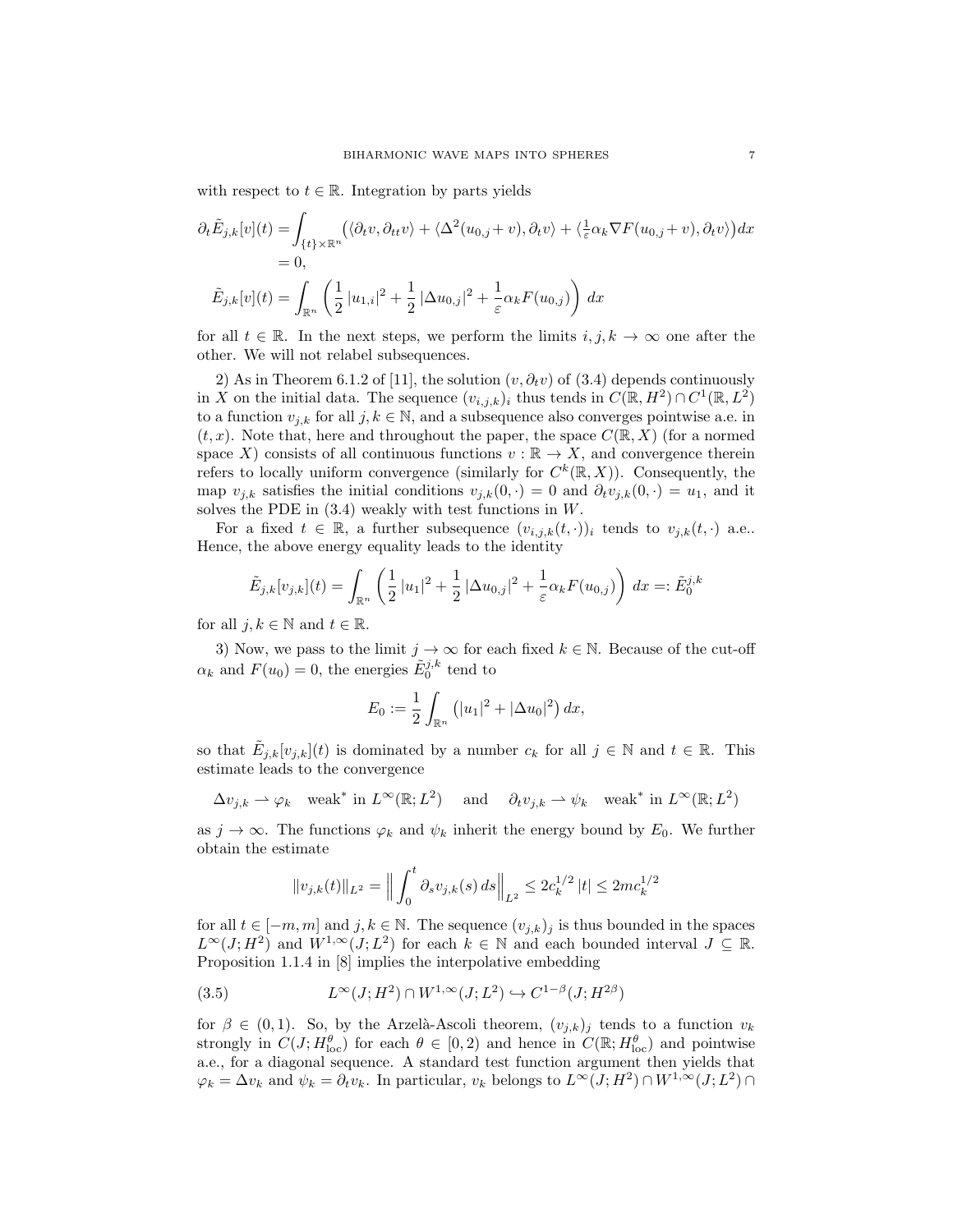with respect to  $t \in \mathbb{R}$ . Integration by parts yields

$$
\partial_t \tilde{E}_{j,k}[v](t) = \int_{\{t\} \times \mathbb{R}^n} (\langle \partial_t v, \partial_{tt} v \rangle + \langle \Delta^2(u_{0,j} + v), \partial_t v \rangle + \langle \frac{1}{\varepsilon} \alpha_k \nabla F(u_{0,j} + v), \partial_t v \rangle) dx
$$
  
= 0,  

$$
\tilde{E}_{j,k}[v](t) = \int_{\mathbb{R}^n} \left( \frac{1}{2} |u_{1,i}|^2 + \frac{1}{2} |\Delta u_{0,j}|^2 + \frac{1}{\varepsilon} \alpha_k F(u_{0,j}) \right) dx
$$

for all  $t \in \mathbb{R}$ . In the next steps, we perform the limits  $i, j, k \to \infty$  one after the other. We will not relabel subsequences.

2) As in Theorem 6.1.2 of [11], the solution  $(v, \partial_t v)$  of (3.4) depends continuously in X on the initial data. The sequence  $(v_{i,j,k})_i$  thus tends in  $C(\mathbb{R}, H^2) \cap C^1(\mathbb{R}, L^2)$ to a function  $v_{j,k}$  for all  $j, k \in \mathbb{N}$ , and a subsequence also converges pointwise a.e. in  $(t, x)$ . Note that, here and throughout the paper, the space  $C(\mathbb{R}, X)$  (for a normed space X) consists of all continuous functions  $v : \mathbb{R} \to X$ , and convergence therein refers to locally uniform convergence (similarly for  $C^k(\mathbb{R}, X)$ ). Consequently, the map  $v_{j,k}$  satisfies the initial conditions  $v_{j,k}(0, \cdot) = 0$  and  $\partial_t v_{j,k}(0, \cdot) = u_1$ , and it solves the PDE in  $(3.4)$  weakly with test functions in W.

For a fixed  $t \in \mathbb{R}$ , a further subsequence  $(v_{i,j,k}(t,\cdot))_i$  tends to  $v_{j,k}(t,\cdot)$  a.e.. Hence, the above energy equality leads to the identity

$$
\tilde{E}_{j,k}[v_{j,k}](t) = \int_{\mathbb{R}^n} \left( \frac{1}{2} |u_1|^2 + \frac{1}{2} |\Delta u_{0,j}|^2 + \frac{1}{\varepsilon} \alpha_k F(u_{0,j}) \right) dx =: \tilde{E}_0^{j,k}
$$

for all  $j, k \in \mathbb{N}$  and  $t \in \mathbb{R}$ .

3) Now, we pass to the limit  $j \to \infty$  for each fixed  $k \in \mathbb{N}$ . Because of the cut-off  $\alpha_k$  and  $F(u_0) = 0$ , the energies  $\tilde{E}_0^{j,k}$  tend to

$$
E_0 := \frac{1}{2} \int_{\mathbb{R}^n} (|u_1|^2 + |\Delta u_0|^2) \, dx,
$$

so that  $\tilde{E}_{j,k}[v_{j,k}](t)$  is dominated by a number  $c_k$  for all  $j \in \mathbb{N}$  and  $t \in \mathbb{R}$ . This estimate leads to the convergence

$$
\Delta v_{j,k} \rightharpoonup \varphi_k \quad \text{weak}^* \text{ in } L^{\infty}(\mathbb{R}; L^2) \quad \text{ and } \quad \partial_t v_{j,k} \rightharpoonup \psi_k \quad \text{weak}^* \text{ in } L^{\infty}(\mathbb{R}; L^2)
$$

as  $j \to \infty$ . The functions  $\varphi_k$  and  $\psi_k$  inherit the energy bound by  $E_0$ . We further obtain the estimate

$$
||v_{j,k}(t)||_{L^2} = \left\| \int_0^t \partial_s v_{j,k}(s) \, ds \right\|_{L^2} \leq 2c_k^{1/2} |t| \leq 2mc_k^{1/2}
$$

for all  $t \in [-m, m]$  and  $j, k \in \mathbb{N}$ . The sequence  $(v_{j,k})_j$  is thus bounded in the spaces  $L^{\infty}(J; H^2)$  and  $W^{1,\infty}(J; L^2)$  for each  $k \in \mathbb{N}$  and each bounded interval  $J \subseteq \mathbb{R}$ . Proposition 1.1.4 in [8] implies the interpolative embedding

(3.5) 
$$
L^{\infty}(J;H^2) \cap W^{1,\infty}(J;L^2) \hookrightarrow C^{1-\beta}(J;H^{2\beta})
$$

for  $\beta \in (0,1)$ . So, by the Arzelà-Ascoli theorem,  $(v_{j,k})_j$  tends to a function  $v_k$ strongly in  $C(J; H_{\text{loc}}^{\theta})$  for each  $\theta \in [0, 2)$  and hence in  $C(\mathbb{R}; H_{\text{loc}}^{\theta})$  and pointwise a.e., for a diagonal sequence. A standard test function argument then yields that  $\varphi_k = \Delta v_k$  and  $\psi_k = \partial_t v_k$ . In particular,  $v_k$  belongs to  $L^{\infty}(J; H^2) \cap W^{1, \infty}(J; L^2) \cap$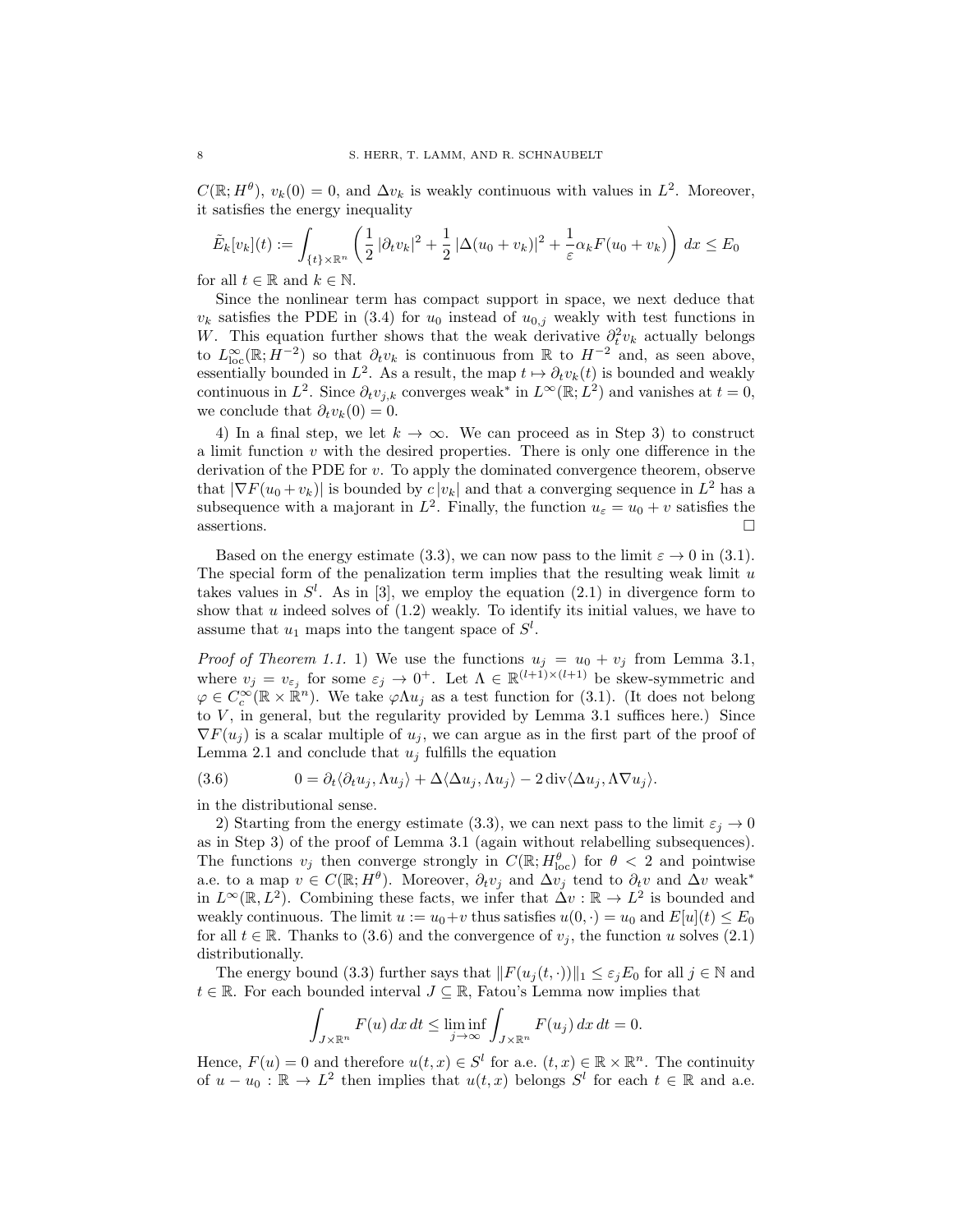$C(\mathbb{R}; H^{\theta})$ ,  $v_k(0) = 0$ , and  $\Delta v_k$  is weakly continuous with values in  $L^2$ . Moreover, it satisfies the energy inequality

$$
\tilde{E}_k[v_k](t) := \int_{\{t\} \times \mathbb{R}^n} \left( \frac{1}{2} |\partial_t v_k|^2 + \frac{1}{2} |\Delta(u_0 + v_k)|^2 + \frac{1}{\varepsilon} \alpha_k F(u_0 + v_k) \right) dx \le E_0
$$

for all  $t \in \mathbb{R}$  and  $k \in \mathbb{N}$ .

Since the nonlinear term has compact support in space, we next deduce that  $v_k$  satisfies the PDE in (3.4) for  $u_0$  instead of  $u_{0,j}$  weakly with test functions in W. This equation further shows that the weak derivative  $\partial_t^2 v_k$  actually belongs to  $L^{\infty}_{\text{loc}}(\mathbb{R}; H^{-2})$  so that  $\partial_t v_k$  is continuous from  $\mathbb{R}$  to  $H^{-2}$  and, as seen above, essentially bounded in  $L^2$ . As a result, the map  $t \mapsto \partial_t v_k(t)$  is bounded and weakly continuous in  $L^2$ . Since  $\partial_t v_{j,k}$  converges weak<sup>\*</sup> in  $L^\infty(\mathbb{R}; L^2)$  and vanishes at  $t = 0$ , we conclude that  $\partial_t v_k(0) = 0$ .

4) In a final step, we let  $k \to \infty$ . We can proceed as in Step 3) to construct a limit function  $v$  with the desired properties. There is only one difference in the derivation of the PDE for v. To apply the dominated convergence theorem, observe that  $|\nabla F(u_0 + v_k)|$  is bounded by  $c|v_k|$  and that a converging sequence in  $L^2$  has a subsequence with a majorant in  $L^2$ . Finally, the function  $u_{\varepsilon} = u_0 + v$  satisfies the assertions.  $\Box$ 

Based on the energy estimate (3.3), we can now pass to the limit  $\varepsilon \to 0$  in (3.1). The special form of the penalization term implies that the resulting weak limit  $u$ takes values in  $S^l$ . As in [3], we employ the equation (2.1) in divergence form to show that  $u$  indeed solves of  $(1.2)$  weakly. To identify its initial values, we have to assume that  $u_1$  maps into the tangent space of  $S^l$ .

*Proof of Theorem 1.1.* 1) We use the functions  $u_j = u_0 + v_j$  from Lemma 3.1, where  $v_j = v_{\varepsilon_j}$  for some  $\varepsilon_j \to 0^+$ . Let  $\Lambda \in \mathbb{R}^{(l+1)\times (l+1)}$  be skew-symmetric and  $\varphi \in C_c^{\infty}(\mathbb{R} \times \mathbb{R}^n)$ . We take  $\varphi \Lambda u_j$  as a test function for (3.1). (It does not belong to  $V$ , in general, but the regularity provided by Lemma 3.1 suffices here.) Since  $\nabla F(u_j)$  is a scalar multiple of  $u_j$ , we can argue as in the first part of the proof of Lemma 2.1 and conclude that  $u_j$  fulfills the equation

(3.6) 
$$
0 = \partial_t \langle \partial_t u_j, \Lambda u_j \rangle + \Delta \langle \Delta u_j, \Lambda u_j \rangle - 2 \operatorname{div} \langle \Delta u_j, \Lambda \nabla u_j \rangle.
$$

in the distributional sense.

2) Starting from the energy estimate (3.3), we can next pass to the limit  $\varepsilon_i \to 0$ as in Step 3) of the proof of Lemma 3.1 (again without relabelling subsequences). The functions  $v_j$  then converge strongly in  $C(\mathbb{R}; H_{\text{loc}}^{\theta})$  for  $\theta < 2$  and pointwise a.e. to a map  $v \in C(\mathbb{R}; H^{\theta})$ . Moreover,  $\partial_t v_j$  and  $\Delta v_j$  tend to  $\partial_t v$  and  $\Delta v$  weak<sup>\*</sup> in  $L^{\infty}(\mathbb{R}, L^2)$ . Combining these facts, we infer that  $\Delta v : \mathbb{R} \to L^2$  is bounded and weakly continuous. The limit  $u := u_0 + v$  thus satisfies  $u(0, \cdot) = u_0$  and  $E[u](t) \leq E_0$ for all  $t \in \mathbb{R}$ . Thanks to (3.6) and the convergence of  $v_j$ , the function u solves (2.1) distributionally.

The energy bound (3.3) further says that  $||F(u_j (t, \cdot))||_1 \leq \varepsilon_j E_0$  for all  $j \in \mathbb{N}$  and  $t \in \mathbb{R}$ . For each bounded interval  $J \subseteq \mathbb{R}$ , Fatou's Lemma now implies that

$$
\int_{J\times\mathbb{R}^n} F(u) dx dt \le \liminf_{j\to\infty} \int_{J\times\mathbb{R}^n} F(u_j) dx dt = 0.
$$

Hence,  $F(u) = 0$  and therefore  $u(t, x) \in S^l$  for a.e.  $(t, x) \in \mathbb{R} \times \mathbb{R}^n$ . The continuity of  $u - u_0 : \mathbb{R} \to L^2$  then implies that  $u(t, x)$  belongs  $S^l$  for each  $t \in \mathbb{R}$  and a.e.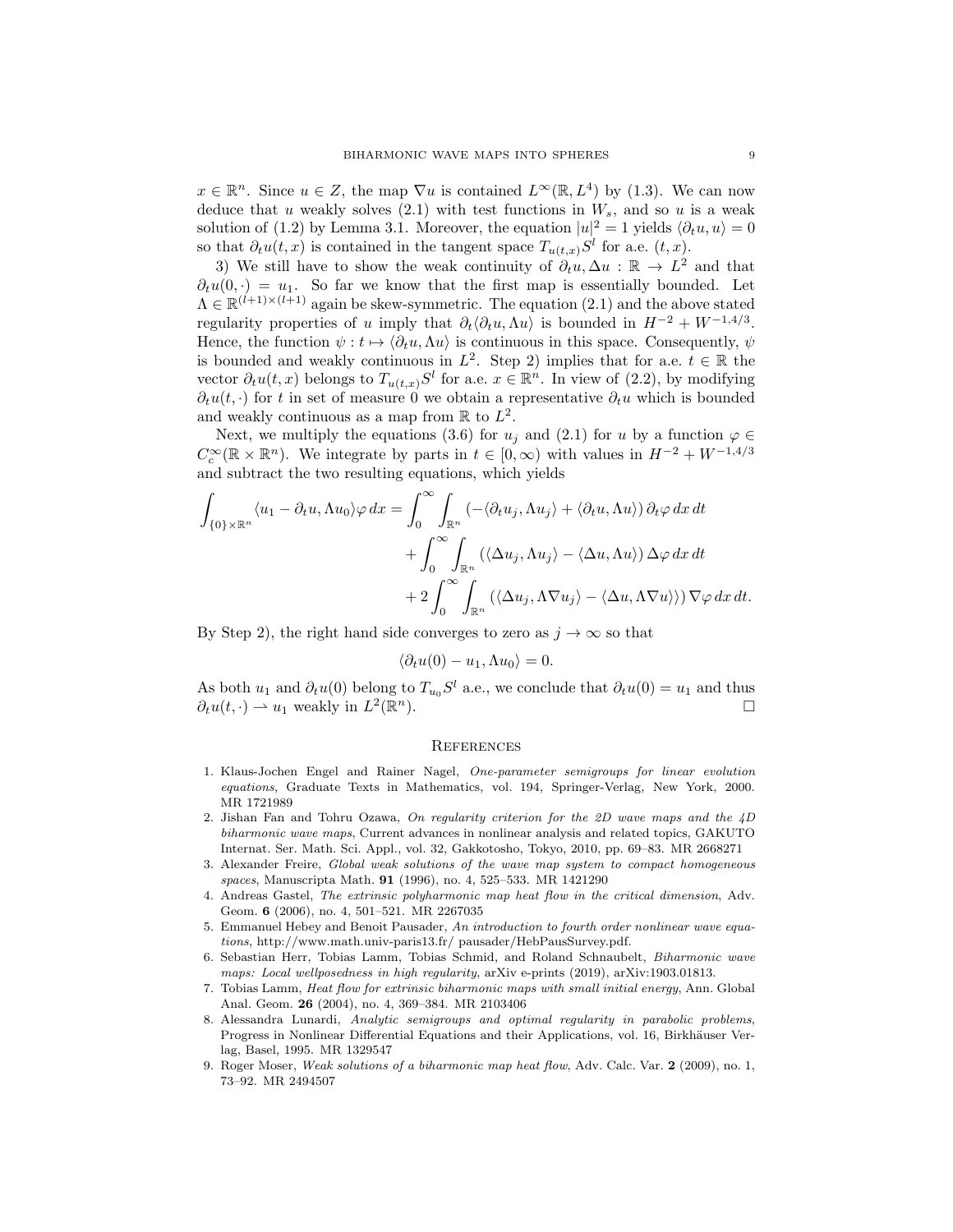$x \in \mathbb{R}^n$ . Since  $u \in Z$ , the map  $\nabla u$  is contained  $L^{\infty}(\mathbb{R}, L^4)$  by (1.3). We can now deduce that u weakly solves  $(2.1)$  with test functions in  $W_s$ , and so u is a weak solution of (1.2) by Lemma 3.1. Moreover, the equation  $|u|^2 = 1$  yields  $\langle \partial_t u, u \rangle = 0$ so that  $\partial_t u(t,x)$  is contained in the tangent space  $T_{u(t,x)}S^l$  for a.e.  $(t,x)$ .

3) We still have to show the weak continuity of  $\partial_t u, \Delta u : \mathbb{R} \to L^2$  and that  $\partial_t u(0, \cdot) = u_1$ . So far we know that the first map is essentially bounded. Let  $\Lambda \in \mathbb{R}^{(l+1)\times(l+1)}$  again be skew-symmetric. The equation (2.1) and the above stated regularity properties of u imply that  $\partial_t \langle \partial_t u, \Lambda u \rangle$  is bounded in  $H^{-2} + W^{-1,4/3}$ . Hence, the function  $\psi : t \mapsto \langle \partial_t u, \Lambda u \rangle$  is continuous in this space. Consequently,  $\psi$ is bounded and weakly continuous in  $L^2$ . Step 2) implies that for a.e.  $t \in \mathbb{R}$  the vector  $\partial_t u(t, x)$  belongs to  $T_{u(t, x)} S^l$  for a.e.  $x \in \mathbb{R}^n$ . In view of (2.2), by modifying  $\partial_t u(t, \cdot)$  for t in set of measure 0 we obtain a representative  $\partial_t u$  which is bounded and weakly continuous as a map from  $\mathbb R$  to  $L^2$ .

Next, we multiply the equations (3.6) for  $u_j$  and (2.1) for u by a function  $\varphi \in$  $C_c^{\infty}(\mathbb{R} \times \mathbb{R}^n)$ . We integrate by parts in  $t \in [0, \infty)$  with values in  $H^{-2} + W^{-1,4/3}$ and subtract the two resulting equations, which yields

$$
\int_{\{0\}\times\mathbb{R}^n} \langle u_1 - \partial_t u, \Lambda u_0 \rangle \varphi \, dx = \int_0^\infty \int_{\mathbb{R}^n} \left( -\langle \partial_t u_j, \Lambda u_j \rangle + \langle \partial_t u, \Lambda u \rangle \right) \partial_t \varphi \, dx \, dt \n+ \int_0^\infty \int_{\mathbb{R}^n} \left( \langle \Delta u_j, \Lambda u_j \rangle - \langle \Delta u, \Lambda u \rangle \right) \Delta \varphi \, dx \, dt \n+ 2 \int_0^\infty \int_{\mathbb{R}^n} \left( \langle \Delta u_j, \Lambda \nabla u_j \rangle - \langle \Delta u, \Lambda \nabla u \rangle \rangle \right) \nabla \varphi \, dx \, dt.
$$

By Step 2), the right hand side converges to zero as  $j \to \infty$  so that

$$
\langle \partial_t u(0) - u_1, \Lambda u_0 \rangle = 0.
$$

As both  $u_1$  and  $\partial_t u(0)$  belong to  $T_{u_0} S^l$  a.e., we conclude that  $\partial_t u(0) = u_1$  and thus  $\partial_t u(t, \cdot) \rightharpoonup u_1$  weakly in  $L^2(\mathbb{R})$  $\Box$ 

#### **REFERENCES**

- 1. Klaus-Jochen Engel and Rainer Nagel, One-parameter semigroups for linear evolution equations, Graduate Texts in Mathematics, vol. 194, Springer-Verlag, New York, 2000. MR 1721989
- 2. Jishan Fan and Tohru Ozawa, On regularity criterion for the 2D wave maps and the  $4D$ biharmonic wave maps, Current advances in nonlinear analysis and related topics, GAKUTO Internat. Ser. Math. Sci. Appl., vol. 32, Gakkotosho, Tokyo, 2010, pp. 69–83. MR 2668271
- 3. Alexander Freire, Global weak solutions of the wave map system to compact homogeneous spaces, Manuscripta Math. 91 (1996), no. 4, 525–533. MR 1421290
- 4. Andreas Gastel, The extrinsic polyharmonic map heat flow in the critical dimension, Adv. Geom. 6 (2006), no. 4, 501–521. MR 2267035
- 5. Emmanuel Hebey and Benoit Pausader, An introduction to fourth order nonlinear wave equations, http://www.math.univ-paris13.fr/ pausader/HebPausSurvey.pdf.
- 6. Sebastian Herr, Tobias Lamm, Tobias Schmid, and Roland Schnaubelt, Biharmonic wave maps: Local wellposedness in high regularity, arXiv e-prints (2019), arXiv:1903.01813.
- 7. Tobias Lamm, Heat flow for extrinsic biharmonic maps with small initial energy, Ann. Global Anal. Geom. 26 (2004), no. 4, 369–384. MR 2103406
- 8. Alessandra Lunardi, Analytic semigroups and optimal regularity in parabolic problems, Progress in Nonlinear Differential Equations and their Applications, vol. 16, Birkhäuser Verlag, Basel, 1995. MR 1329547
- 9. Roger Moser, Weak solutions of a biharmonic map heat flow, Adv. Calc. Var. 2 (2009), no. 1, 73–92. MR 2494507